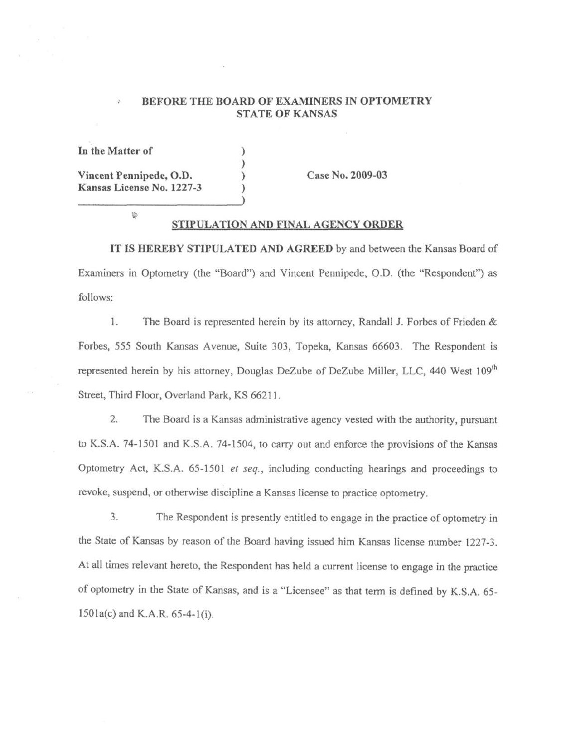#### BEFORE THE BOARD OF EXAMINERS IN OPTOMETRY STATE OF KANSAS

In **the Matter of Vincent Pennipede, O.D. Kansas License No. 1227-3**  ) ) ) )

**Case No. 2009-03** 

掺

#### **STIPULATION AND FINAL AGENCY ORDER**

**IT IS HEREBY STIPULATED AND AGREED** by and between the Kansas Board of Examiners in Optometry (the "Board") and Vincent Pennipede, 0.D. (the "Respondent") as follows:

1. The Board is represented herein by its attorney, Randall J. Forbes of Frieden & Forbes, 555 South Kansas Avenue, Suite 303, Topeka, Kansas 66603. The Respondent is represented herein by his attorney, Douglas DeZube of DeZube Miller, LLC, 440 West 109'h Street, Third Floor, Overland Park, KS 6621 l.

2. The Board is a Kansas administrative agency vested with the authority, pursuant to K.S.A. 74-l501 and K.S.A. 74-1504, to carry out and enforce the provisions of the Kansas Optometry Act, K.S.A. 65-1501 *et seq.,* including conducting hearings and proceedings to revoke, suspend, or otherwise discipline a Kansas license to practice optometry.

3. The Respondent is presently entitled to engage in the practice of optometry in the State of Kansas by reason of the Board having issued him Kansas license number 1227-3. At all times relevant hereto, the Respondent has held a current license to engage in the practice of optometry in the State of Kansas, and is a "Licensee" as that term is defined by K.S.A. 65-  $1501a(c)$  and K.A.R. 65-4-1(i).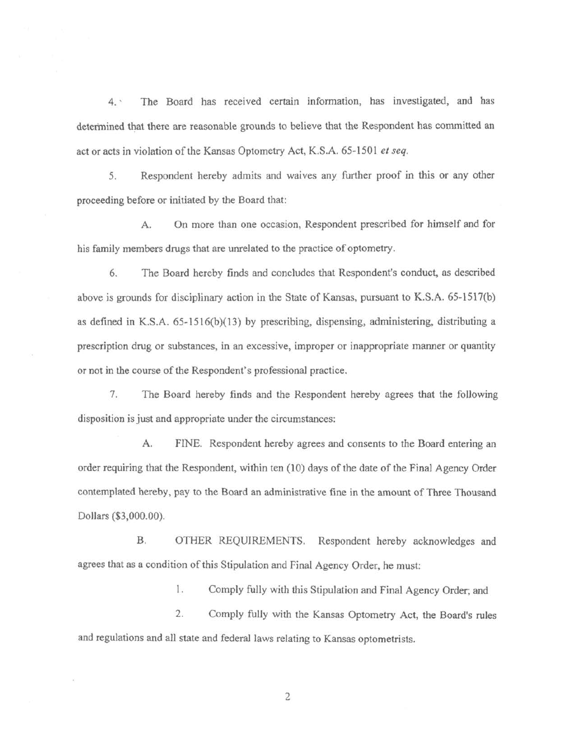4. The Board has received certain information, has investigated, and has determined that there are reasonable grounds to believe that the Respondent has committed an act or acts in violation of the Kansas Optometry Act, K.S.A. 65-1501 *et seq.* 

5. Respondent hereby admits and waives any further proof in this or any other proceeding before or initiated by the Board that:

A. On more than one occasion, Respondent prescribed for himself and for his family members drugs that are unrelated to the practice of optometry.

6. The Board hereby finds and concludes that Respondent's conduct, as described above is grounds for disciplinary action in the State of Kansas, pursuant to K.S.A. 65-1517(b) as defined in K.S.A. 65-1516(b)(13) by prescribing, dispensing, administering, distributing a prescription drug or substances, in an excessive, improper or inappropriate manner or quantity or not in the course of the Respondent's professional practice.

7. The Board hereby finds and the Respondent hereby agrees that the following disposition is just and appropriate under the circumstances:

A. FINE. Respondent hereby agrees and consents to the Board entering an order requiring that the Respondent, within ten ( 10) days of the date of the Final Agency Order contemplated hereby, pay to the Board an administrative fine in the amount of Three Thousand Dollars (\$3,000.00).

B. OTHER REQUIREMENTS. Respondent hereby acknowledges and agrees that as a condition of this Stipulation and Final Agency Order, he must:

1. Comply fully with this Stipulation and Final Agency Order; and

2. Comply fully with the Kansas Optometry Act, the Board's rules and regulations and all state and federal laws relating to Kansas optometrists.

2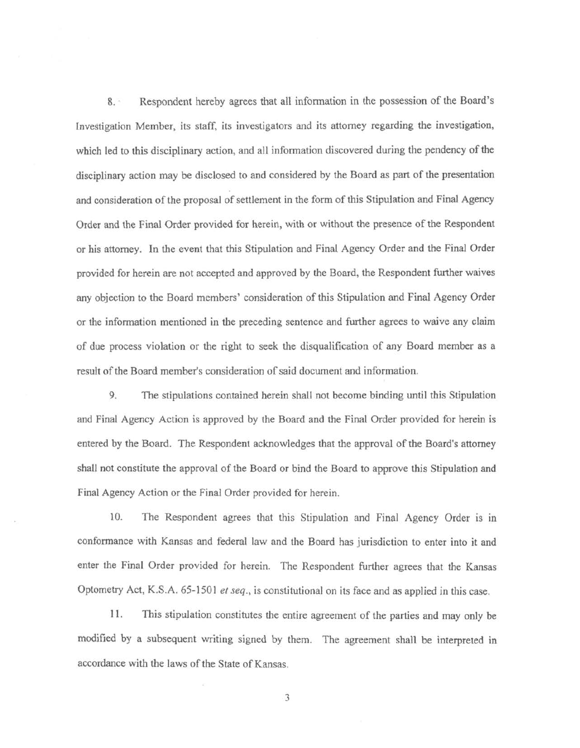8. · Respondent hereby agrees that all infonnation in the possession of the Board's Investigation Member, its staff, its investigators and its attorney regarding the investigation, which led to this disciplinary action, and all information discovered during the pendency of the disciplinary action may be disclosed to and considered by the Board as part of the presentation and consideration of the proposal of settlement in the form of this Stipulation and Final Agency Order and the final Order provided for herein, with or without the presence of the Respondent or his attorney. In the event that this Stipulation and Final Agency Order and the Final Order provided for herein are not accepted and approved by the Board, the Respondent further waives any objection to the Board members' consideration of this Stipulation and Final Agency Order or the information mentioned in the preceding sentence and further agrees to waive any claim of due process violation or the right to seek the disqualification of any Board member as a result of the Board member's consideration of said document and information.

9. The stipulations contained herein shall not become binding until this Stipulation and Final Agency Action is approved by the Board and the Final Order provided for herein is entered by the Board. The Respondent acknowledges that the approval of the Board's attorney shall not constitute the approval of the Board or bind the Board to approve this Stipulation and Final Agency Action or the Final Order provided for herein.

10. The Respondent agrees that this Stipulation and Final Agency Order is in conformance with Kansas and federal law and the Board has jurisdiction to enter into it and enter the Final Order provided for herein. The Respondent further agrees that the Kansas Optometry Act, K.S.A. 65-1501 *et seq.,* is constitutional on its face and as applied in this case.

11 . This stipulation constitutes the entire agreement of the parties and may only be modified by a subsequent writing signed by them. The agreement shall be interpreted in accordance with the laws of the State of Kansas.

3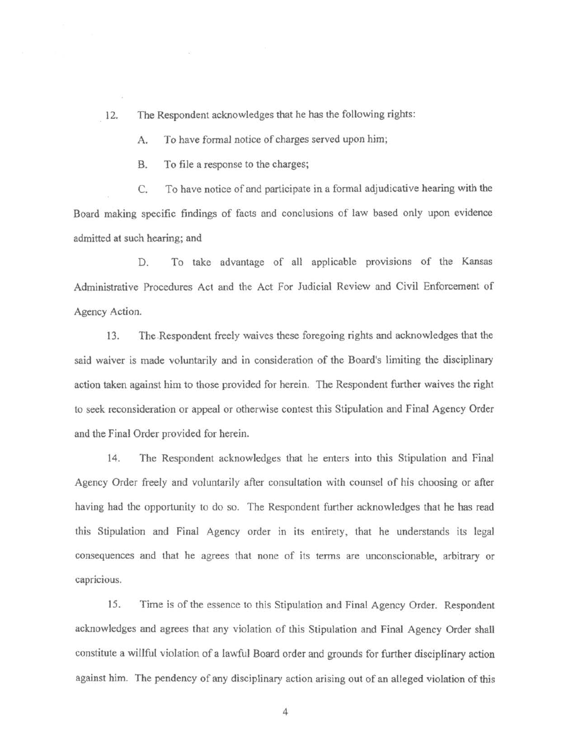12. The Respondent acknowledges that he has the following rights:

A. To have formal notice of charges served upon him;

B. To file a response to the charges;

C. To have notice of and participate in a fonnal adjudicative hearing with the Board making specific findings of facts and conclusions of law based only upon evidence admitted at such hearing; and

D. To take advantage of all applicable provisions of the Kansas Administrative Procedures Act and the Act For Judicial Review and Civil Enforcement of Agency Action.

13. The.Respondent freely waives these foregoing rights and acknowledges that the said waiver is made voluntarily and in consideration of the Board's limiting the disciplinary action taken against him to those provided for herein. The Respondent further waives the right to seek reconsideration or appeal or otherwise contest this Stipulation and Final Agency Order and the Final Order provided for herein.

14. The Respondent acknowledges that he enters into this Stipulation and Final Agency Order freely and voluntarily after consultation with counsel of his choosing or after having had the opportunity to do so. The Respondent further acknowledges that he has read this Stipulation and Final Agency order in its entirety, that he understands its legal consequences and that he agrees that none of its terms are unconscionable, arbitrary or capricious.

15. Time is of the essence to this Stipulation and Final Agency Order. Respondent acknowledges and agrees that any violation of this Stipulation and Final Agency Order shall constitute a willful violation of a lawful Board order and grounds for further disciplinary action against him. The pendency of any disciplinary action arising out of an alleged violation of this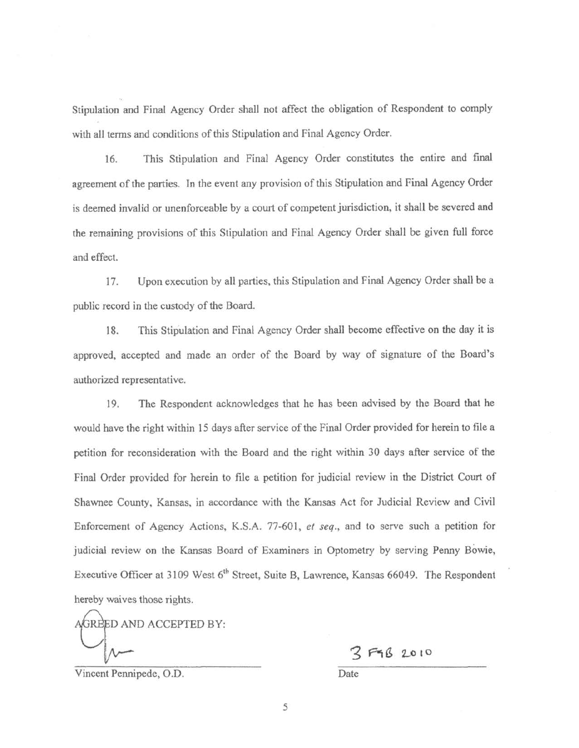Stipulation and Final Agency Order shall not affect the obligation of Respondent to comply with all terms and conditions of this Stipulation and Final Agency Order.

16. This Stipulation and Final Agency Order constitutes the entire and final agreement of the parties. In the event any provision of this Stipulation and Final Agency Order is deemed invalid or unenforceable by a court of competent jurisdiction, it shall be severed and the remaining provisions of this Stipulation and Final Agency Order shall be given full force and effect.

17. Upon execution by all parties, this Stipulation and Final Agency Order shall be a public record in the custody of the Board.

18. This Stipulation and Final Agency Order shall become effective on the day it is approved, accepted and made an order of the Board by way of signature of the Board's authorized representative.

19. The Respondent acknowledges that he has been advised by the Board that he would have the right within 15 days after service of the Final Order provided for herein to file a petition for reconsideration with the Board and the right within 30 days after service of the Final Order provided for herein to file a petition for judicial review in the District Court of Shawnee County, Kansas, in accordance with the Kansas Act for Judicial Review and Civil Enforcement of Agency Actions, K.S.A. 77-60 l, *et seq.,* and to serve such a petition for judicial review on the Kansas Board of Examiners in Optometry by serving Penny Bowie, Executive Officer at 3109 West 6<sup>th</sup> Street, Suite B, Lawrence, Kansas 66049. The Respondent hereby waives those rights.

GREED AND ACCEPTED BY:

2 FGB 2010

Vincent Pennipede, O.D. Date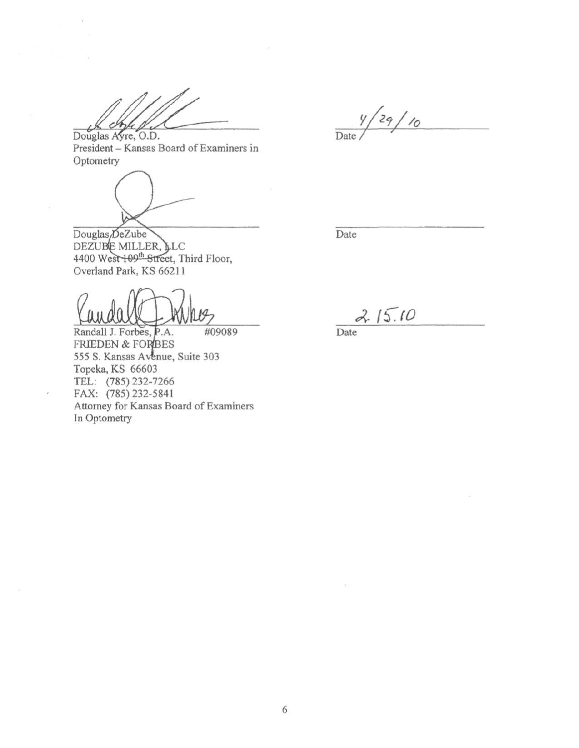Douglas Ayre, O.D. ch

 $\frac{y}{\text{Date}}$ / 29/10

President - Kansas Board of Examiners in **Optometry** 

Douglas<sub>/DeZube</sub> DEZUBE MILLER, LC<br>4400 West 109<sup>th</sup> Street, Third Floor, Overland Park, KS 66211

Randall J. Forbes, P.A. #09089 FRIEDEN & FORBES 555 S. Kansas Avenue, Suite 303 Topeka, KS 66603 TEL: (785) 232-7266 FAX: (785) 232-5841 Attorney for Kansas Board of Examiners In Optometry

 $\bar{\nu}$ 

Date

 $2.15.10$ Date

6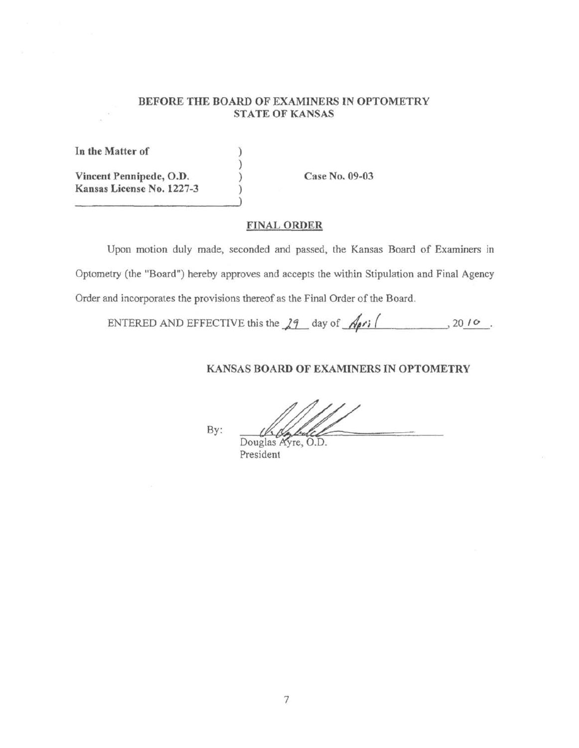### **BEFORE THE BOARD OF EXAMINERS IN OPTOMETRY STATE OF KANSAS**

**In the Matter of Vincent Pennipede, O.D. Kansas License No. 1227-3**  ) ) ) )

**Case No. 09-03** 

# **FINAL ORDER**

Upon motion duly made, seconded and passed, the Kansas Board of Examiners in Optometry (the "Board") hereby approves and accepts the within Stipulation and Final Agency Order and incorporates the provisions thereof as the Final Order of the Board.

ENTERED AND EFFECTIVE this the .).j\_ day of\_-4 "...:.. ;..,\_( \_ \_ \_\_\_ , 20~.

# **KANSAS BOARD OF EXAMINERS IN OPTOMETRY**

By:

Douglas Ayre, O.D. President